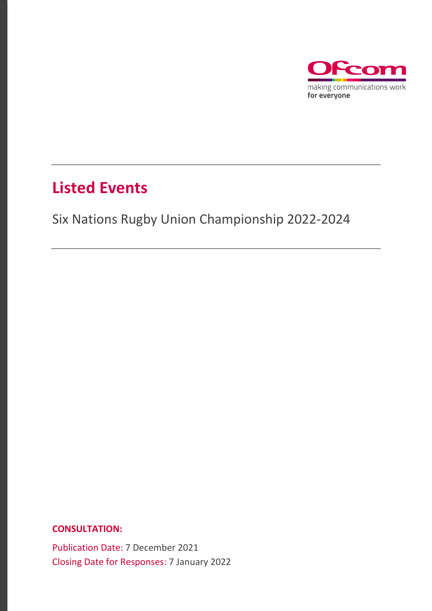

### **Listed Events**

### Six Nations Rugby Union Championship 2022-2024

**CONSULTATION:**

Publication Date: 7 December 2021 Closing Date for Responses: 7 January 2022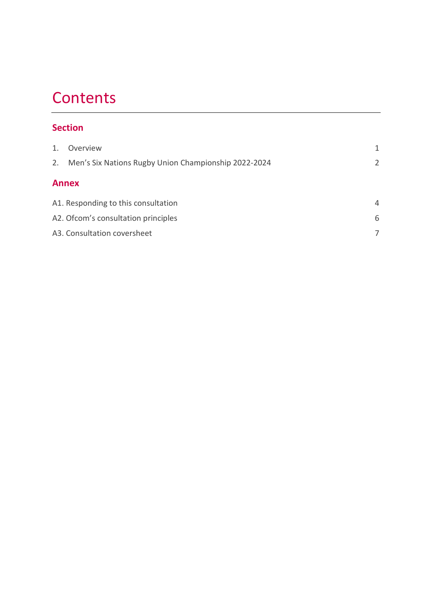## **Contents**

#### **Section**

| 1.           | Overview                                             | 1              |
|--------------|------------------------------------------------------|----------------|
| 2.           | Men's Six Nations Rugby Union Championship 2022-2024 | $\overline{2}$ |
| <b>Annex</b> |                                                      |                |
|              | A1. Responding to this consultation                  | $\overline{4}$ |
|              | A2. Of com's consultation principles                 | 6              |
|              | A3. Consultation coversheet                          |                |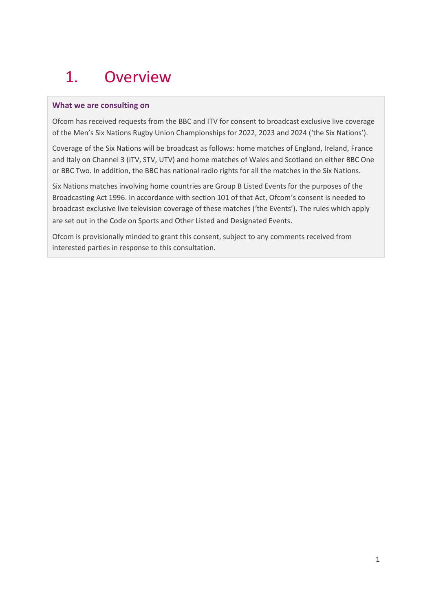## <span id="page-2-0"></span>1. Overview

#### **What we are consulting on**

Ofcom has received requests from the BBC and ITV for consent to broadcast exclusive live coverage of the Men's Six Nations Rugby Union Championships for 2022, 2023 and 2024 ('the Six Nations').

Coverage of the Six Nations will be broadcast as follows: home matches of England, Ireland, France and Italy on Channel 3 (ITV, STV, UTV) and home matches of Wales and Scotland on either BBC One or BBC Two. In addition, the BBC has national radio rights for all the matches in the Six Nations.

Six Nations matches involving home countries are Group B Listed Events for the purposes of the Broadcasting Act 1996. In accordance with section 101 of that Act, Ofcom's consent is needed to broadcast exclusive live television coverage of these matches ('the Events'). The rules which apply are set out in the Code on Sports and Other Listed and Designated Events.

Ofcom is provisionally minded to grant this consent, subject to any comments received from interested parties in response to this consultation.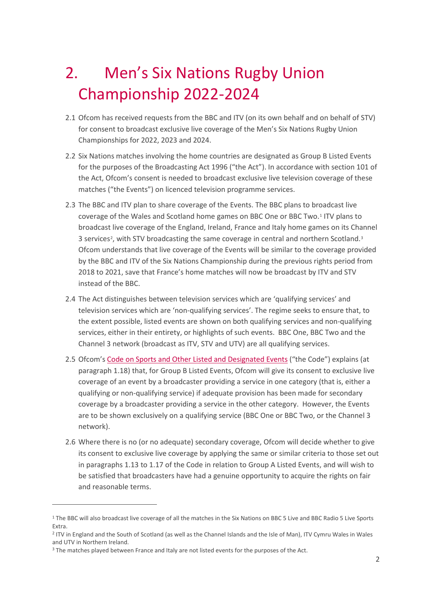# <span id="page-3-0"></span>2. Men's Six Nations Rugby Union Championship 2022-2024

- 2.1 Ofcom has received requests from the BBC and ITV (on its own behalf and on behalf of STV) for consent to broadcast exclusive live coverage of the Men's Six Nations Rugby Union Championships for 2022, 2023 and 2024.
- 2.2 Six Nations matches involving the home countries are designated as Group B Listed Events for the purposes of the Broadcasting Act 1996 ("the Act"). In accordance with section 101 of the Act, Ofcom's consent is needed to broadcast exclusive live television coverage of these matches ("the Events") on licenced television programme services.
- 2.3 The BBC and ITV plan to share coverage of the Events. The BBC plans to broadcast live coverage of the Wales and Scotland home games on BBC One or BBC Two[.1](#page-3-1) ITV plans to broadcast live coverage of the England, Ireland, France and Italy home games on its Channel 3 services<sup>[2](#page-3-2)</sup>, with STV broadcasting the same coverage in central and northern Scotland.<sup>[3](#page-3-3)</sup> Ofcom understands that live coverage of the Events will be similar to the coverage provided by the BBC and ITV of the Six Nations Championship during the previous rights period from 2018 to 2021, save that France's home matches will now be broadcast by ITV and STV instead of the BBC.
- 2.4 The Act distinguishes between television services which are 'qualifying services' and television services which are 'non-qualifying services'. The regime seeks to ensure that, to the extent possible, listed events are shown on both qualifying services and non-qualifying services, either in their entirety, or highlights of such events. BBC One, BBC Two and the Channel 3 network (broadcast as ITV, STV and UTV) are all qualifying services.
- 2.5 Ofcom's [Code on Sports and Other Listed and Designated Events](https://www.ofcom.org.uk/__data/assets/pdf_file/0029/35948/ofcom_code_on_sport.pdf) ("the Code") explains (at paragraph 1.18) that, for Group B Listed Events, Ofcom will give its consent to exclusive live coverage of an event by a broadcaster providing a service in one category (that is, either a qualifying or non-qualifying service) if adequate provision has been made for secondary coverage by a broadcaster providing a service in the other category. However, the Events are to be shown exclusively on a qualifying service (BBC One or BBC Two, or the Channel 3 network).
- 2.6 Where there is no (or no adequate) secondary coverage, Ofcom will decide whether to give its consent to exclusive live coverage by applying the same or similar criteria to those set out in paragraphs 1.13 to 1.17 of the Code in relation to Group A Listed Events, and will wish to be satisfied that broadcasters have had a genuine opportunity to acquire the rights on fair and reasonable terms.

<span id="page-3-1"></span><sup>1</sup> The BBC will also broadcast live coverage of all the matches in the Six Nations on BBC 5 Live and BBC Radio 5 Live Sports Extra.

<span id="page-3-2"></span><sup>2</sup> ITV in England and the South of Scotland (as well as the Channel Islands and the Isle of Man), ITV Cymru Wales in Wales and UTV in Northern Ireland.

<span id="page-3-3"></span><sup>&</sup>lt;sup>3</sup> The matches played between France and Italy are not listed events for the purposes of the Act.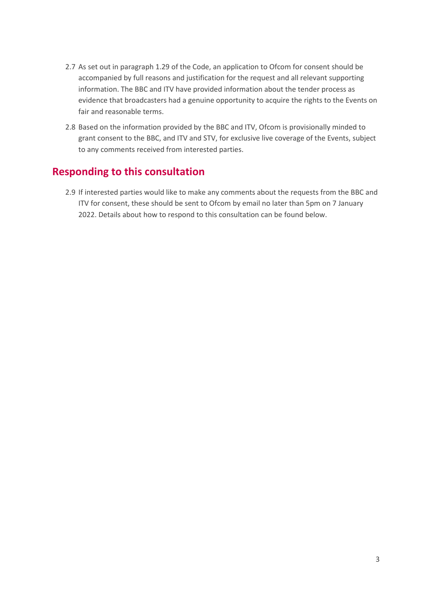- 2.7 As set out in paragraph 1.29 of the Code, an application to Ofcom for consent should be accompanied by full reasons and justification for the request and all relevant supporting information. The BBC and ITV have provided information about the tender process as evidence that broadcasters had a genuine opportunity to acquire the rights to the Events on fair and reasonable terms.
- 2.8 Based on the information provided by the BBC and ITV, Ofcom is provisionally minded to grant consent to the BBC, and ITV and STV, for exclusive live coverage of the Events, subject to any comments received from interested parties.

#### **Responding to this consultation**

2.9 If interested parties would like to make any comments about the requests from the BBC and ITV for consent, these should be sent to Ofcom by email no later than 5pm on 7 January 2022. Details about how to respond to this consultation can be found below.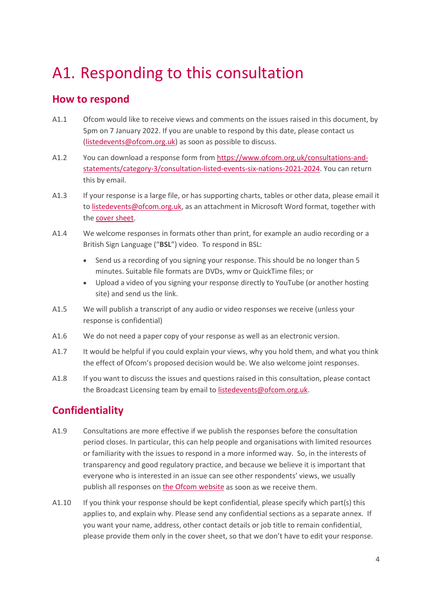## <span id="page-5-0"></span>A1. Responding to this consultation

#### **How to respond**

- A1.1 Ofcom would like to receive views and comments on the issues raised in this document, by 5pm on 7 January 2022. If you are unable to respond by this date, please contact us [\(listedevents@ofcom.org.uk\)](mailto:listedevents@ofcom.org.uk) as soon as possible to discuss.
- A1.2 You can download a response form from [https://www.ofcom.org.uk/consultations-and](https://www.ofcom.org.uk/consultations-and-statements/category-3/consultation-listed-events-six-nations-2021-2024)[statements/category-3/consultation-listed-events-six-nations-2021-2024.](https://www.ofcom.org.uk/consultations-and-statements/category-3/consultation-listed-events-six-nations-2021-2024) You can return this by email.
- A1.3 If your response is a large file, or has supporting charts, tables or other data, please email it t[o listedevents@ofcom.org.uk,](mailto:listedevents@ofcom.org.uk) as an attachment in Microsoft Word format, together with the [cover sheet.](https://www.ofcom.org.uk/consultations-and-statements/consultation-response-coversheet)
- A1.4 We welcome responses in formats other than print, for example an audio recording or a British Sign Language ("**BSL**") video. To respond in BSL:
	- Send us a recording of you signing your response. This should be no longer than 5 minutes. Suitable file formats are DVDs, wmv or QuickTime files; or
	- Upload a video of you signing your response directly to YouTube (or another hosting site) and send us the link.
- A1.5 We will publish a transcript of any audio or video responses we receive (unless your response is confidential)
- A1.6 We do not need a paper copy of your response as well as an electronic version.
- A1.7 It would be helpful if you could explain your views, why you hold them, and what you think the effect of Ofcom's proposed decision would be. We also welcome joint responses.
- A1.8 If you want to discuss the issues and questions raised in this consultation, please contact the Broadcast Licensing team by email to [listedevents@ofcom.org.uk.](mailto:listedevents@ofcom.org.uk)

### **Confidentiality**

- A1.9 Consultations are more effective if we publish the responses before the consultation period closes. In particular, this can help people and organisations with limited resources or familiarity with the issues to respond in a more informed way. So, in the interests of transparency and good regulatory practice, and because we believe it is important that everyone who is interested in an issue can see other respondents' views, we usually publish all responses on [the Ofcom website](http://www.ofcom.org.uk/) as soon as we receive them.
- A1.10 If you think your response should be kept confidential, please specify which part(s) this applies to, and explain why. Please send any confidential sections as a separate annex. If you want your name, address, other contact details or job title to remain confidential, please provide them only in the cover sheet, so that we don't have to edit your response.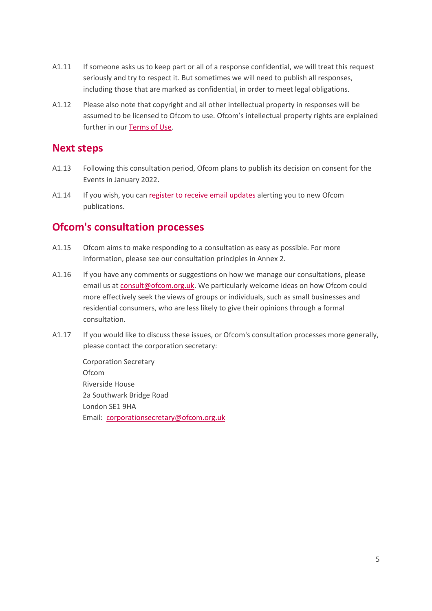- A1.11 If someone asks us to keep part or all of a response confidential, we will treat this request seriously and try to respect it. But sometimes we will need to publish all responses, including those that are marked as confidential, in order to meet legal obligations.
- A1.12 Please also note that copyright and all other intellectual property in responses will be assumed to be licensed to Ofcom to use. Ofcom's intellectual property rights are explained further in ou[r Terms of Use.](https://www.ofcom.org.uk/about-ofcom/website/terms-of-use)

#### **Next steps**

- A1.13 Following this consultation period, Ofcom plans to publish its decision on consent for the Events in January 2022.
- A1.14 If you wish, you can [register to receive email updates](https://www.ofcom.org.uk/about-ofcom/latest/email-updates) alerting you to new Ofcom publications.

#### **Ofcom's consultation processes**

- A1.15 Ofcom aims to make responding to a consultation as easy as possible. For more information, please see our consultation principles in Annex 2.
- A1.16 If you have any comments or suggestions on how we manage our consultations, please email us a[t consult@ofcom.org.uk.](mailto:consult@ofcom.org.uk) We particularly welcome ideas on how Ofcom could more effectively seek the views of groups or individuals, such as small businesses and residential consumers, who are less likely to give their opinions through a formal consultation.
- A1.17 If you would like to discuss these issues, or Ofcom's consultation processes more generally, please contact the corporation secretary:

Corporation Secretary Ofcom Riverside House 2a Southwark Bridge Road London SE1 9HA Email: [corporationsecretary@ofcom.org.uk](mailto:corporationsecretary@ofcom.org.uk)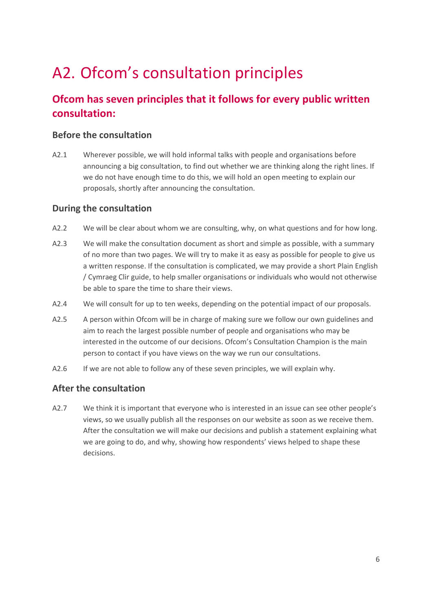# <span id="page-7-0"></span>A2. Ofcom's consultation principles

### **Ofcom has seven principles that it follows for every public written consultation:**

#### **Before the consultation**

A2.1 Wherever possible, we will hold informal talks with people and organisations before announcing a big consultation, to find out whether we are thinking along the right lines. If we do not have enough time to do this, we will hold an open meeting to explain our proposals, shortly after announcing the consultation.

#### **During the consultation**

- A2.2 We will be clear about whom we are consulting, why, on what questions and for how long.
- A2.3 We will make the consultation document as short and simple as possible, with a summary of no more than two pages. We will try to make it as easy as possible for people to give us a written response. If the consultation is complicated, we may provide a short Plain English / Cymraeg Clir guide, to help smaller organisations or individuals who would not otherwise be able to spare the time to share their views.
- A2.4 We will consult for up to ten weeks, depending on the potential impact of our proposals.
- A2.5 A person within Ofcom will be in charge of making sure we follow our own guidelines and aim to reach the largest possible number of people and organisations who may be interested in the outcome of our decisions. Ofcom's Consultation Champion is the main person to contact if you have views on the way we run our consultations.
- A2.6 If we are not able to follow any of these seven principles, we will explain why.

#### **After the consultation**

A2.7 We think it is important that everyone who is interested in an issue can see other people's views, so we usually publish all the responses on our website as soon as we receive them. After the consultation we will make our decisions and publish a statement explaining what we are going to do, and why, showing how respondents' views helped to shape these decisions.